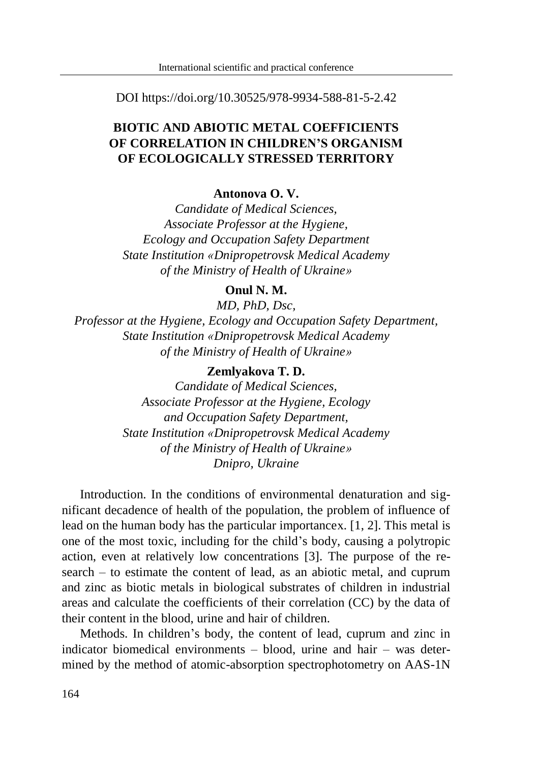DOI https://doi.org/10.30525/978-9934-588-81-5-2.42

# **BIOTIC AND ABIOTIC METAL COEFFICIENTS OF CORRELATION IN CHILDREN'S ORGANISM OF ECOLOGICALLY STRESSED TERRITORY**

### **Antonova O. V.**

*Candidate of Medical Sciences, Associate Professor at the Hygiene, Ecology and Occupation Safety Department State Institution «Dnipropetrovsk Medical Academy of the Ministry of Health of Ukraine»*

### **Onul N. M.**

*MD, PhD, Dsc,*

*Professor at the Hygiene, Ecology and Occupation Safety Department, State Institution «Dnipropetrovsk Medical Academy of the Ministry of Health of Ukraine»*

## **Zemlyakova T. D.**

*Candidate of Medical Sciences, Associate Professor at the Hygiene, Ecology and Occupation Safety Department, State Institution «Dnipropetrovsk Medical Academy of the Ministry of Health of Ukraine» Dnipro, Ukraine*

Introduction. In the conditions of environmental denaturation and significant decadence of health of the population, the problem of influence of lead on the human body has the particular importanceх. [1, 2]. This metal is one of the most toxic, including for the child's body, causing a polytropic action, even at relatively low concentrations [3]. The purpose of the research – to estimate the content of lead, as an abiotic metal, and cuprum and zinc as biotic metals in biological substrates of children in industrial areas and calculate the coefficients of their correlation (CC) by the data of their content in the blood, urine and hair of children.

Methods. In children's body, the content of lead, cuprum and zinc in indicator biomedical environments – blood, urine and hair – was determined by the method of atomic-absorption spectrophotometry on AAS-1N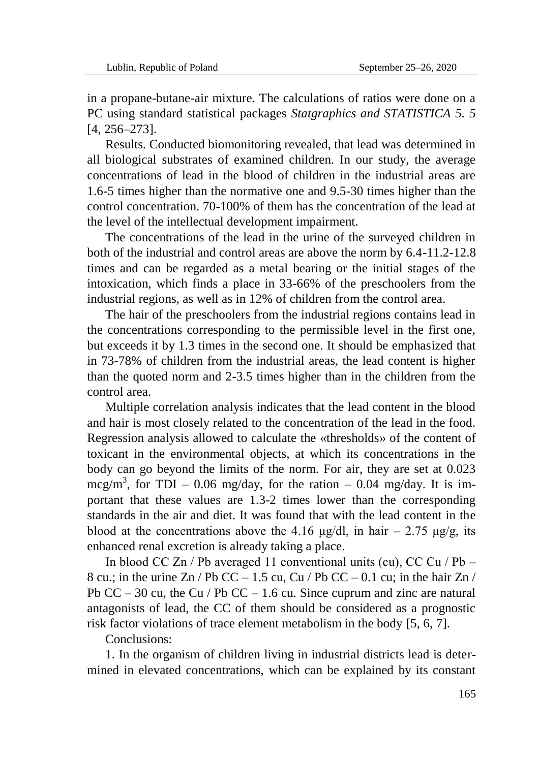in a propane-butane-air mixture. The calculations of ratios were done on a PC using standard statistical packages *Statgraphics and STATISTICA 5. 5* [4, 256–273].

Results. Conducted biomonitoring revealed, that lead was determined in all biological substrates of examined children. In our study, the average concentrations of lead in the blood of children in the industrial areas are 1.6-5 times higher than the normative one and 9.5-30 times higher than the control concentration. 70-100% of them has the concentration of the lead at the level of the intellectual development impairment.

The concentrations of the lead in the urine of the surveyed children in both of the industrial and control areas are above the norm by 6.4-11.2-12.8 times and can be regarded as a metal bearing or the initial stages of the intoxication, which finds a place in 33-66% of the preschoolers from the industrial regions, as well as in 12% of children from the control area.

The hair of the preschoolers from the industrial regions contains lead in the concentrations corresponding to the permissible level in the first one, but exceeds it by 1.3 times in the second one. It should be emphasized that in 73-78% of children from the industrial areas, the lead content is higher than the quoted norm and 2-3.5 times higher than in the children from the control area.

Multiple correlation analysis indicates that the lead content in the blood and hair is most closely related to the concentration of the lead in the food. Regression analysis allowed to calculate the «thresholds» of the content of toxicant in the environmental objects, at which its concentrations in the body can go beyond the limits of the norm. For air, they are set at 0.023 mcg/m<sup>3</sup>, for TDI – 0.06 mg/day, for the ration – 0.04 mg/day. It is important that these values are 1.3-2 times lower than the corresponding standards in the air and diet. It was found that with the lead content in the blood at the concentrations above the 4.16 μg/dl, in hair  $-2.75 \mu g/g$ , its enhanced renal excretion is already taking a place.

In blood CC Zn / Pb averaged 11 conventional units (cu), CC Cu / Pb – 8 cu.; in the urine Zn / Pb CC – 1.5 cu, Cu / Pb CC – 0.1 cu; in the hair Zn / Pb  $CC - 30$  cu, the Cu / Pb  $CC - 1.6$  cu. Since cuprum and zinc are natural antagonists of lead, the CC of them should be considered as a prognostic risk factor violations of trace element metabolism in the body [5, 6, 7].

Conclusions:

1. In the organism of children living in industrial districts lead is determined in elevated concentrations, which can be explained by its constant